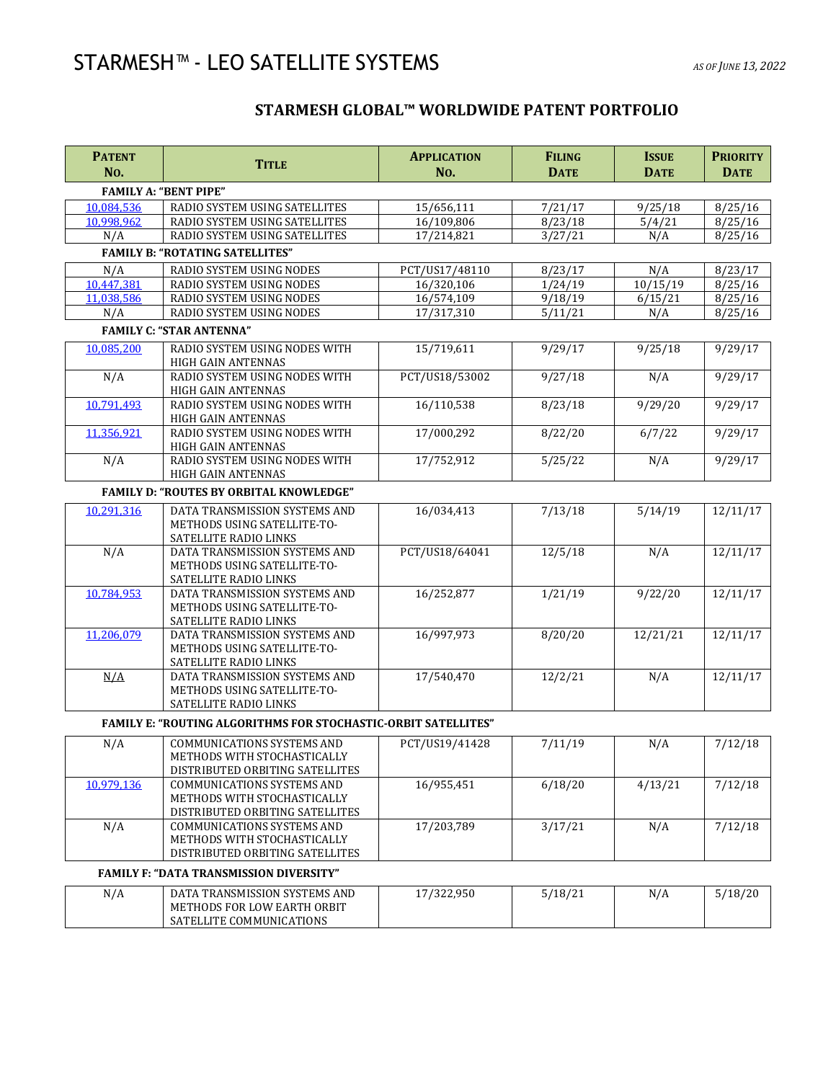## STARMESH™ - LEO SATELLITE SYSTEMS *AS OF JUNE 13, <sup>2022</sup>*

## **STARMESH GLOBAL™ WORLDWIDE PATENT PORTFOLIO**

| <b>PATENT</b><br>No. | <b>TITLE</b>                                                                                        | <b>APPLICATION</b><br>No. | <b>FILING</b><br><b>DATE</b> | <b>ISSUE</b><br><b>DATE</b> | <b>PRIORITY</b><br><b>DATE</b> |
|----------------------|-----------------------------------------------------------------------------------------------------|---------------------------|------------------------------|-----------------------------|--------------------------------|
|                      | <b>FAMILY A: "BENT PIPE"</b>                                                                        |                           |                              |                             |                                |
| 10,084,536           | RADIO SYSTEM USING SATELLITES                                                                       | 15/656,111                | 7/21/17                      | 9/25/18                     | 8/25/16                        |
| 10.998.962           | RADIO SYSTEM USING SATELLITES                                                                       | 16/109,806                | 8/23/18                      | 5/4/21                      | 8/25/16                        |
| N/A                  | RADIO SYSTEM USING SATELLITES                                                                       | 17/214,821                | 3/27/21                      | N/A                         | 8/25/16                        |
|                      | <b>FAMILY B: "ROTATING SATELLITES"</b>                                                              |                           |                              |                             |                                |
| N/A                  | RADIO SYSTEM USING NODES                                                                            | PCT/US17/48110            | 8/23/17                      | N/A                         | 8/23/17                        |
| 10,447,381           | RADIO SYSTEM USING NODES                                                                            | 16/320,106                | 1/24/19                      | 10/15/19                    | 8/25/16                        |
| 11.038.586           | RADIO SYSTEM USING NODES                                                                            | 16/574,109                | 9/18/19                      | 6/15/21                     | 8/25/16                        |
| N/A                  | RADIO SYSTEM USING NODES                                                                            | 17/317,310                | 5/11/21                      | N/A                         | 8/25/16                        |
|                      | <b>FAMILY C: "STAR ANTENNA"</b>                                                                     |                           |                              |                             |                                |
| 10,085,200           | RADIO SYSTEM USING NODES WITH<br>HIGH GAIN ANTENNAS                                                 | 15/719,611                | 9/29/17                      | 9/25/18                     | 9/29/17                        |
| N/A                  | RADIO SYSTEM USING NODES WITH<br>HIGH GAIN ANTENNAS                                                 | PCT/US18/53002            | 9/27/18                      | N/A                         | 9/29/17                        |
| 10,791,493           | RADIO SYSTEM USING NODES WITH<br><b>HIGH GAIN ANTENNAS</b>                                          | 16/110,538                | 8/23/18                      | 9/29/20                     | 9/29/17                        |
| 11,356,921           | RADIO SYSTEM USING NODES WITH<br>HIGH GAIN ANTENNAS                                                 | 17/000,292                | 8/22/20                      | 6/7/22                      | 9/29/17                        |
| N/A                  | RADIO SYSTEM USING NODES WITH<br>HIGH GAIN ANTENNAS                                                 | 17/752,912                | 5/25/22                      | N/A                         | 9/29/17                        |
|                      | <b>FAMILY D: "ROUTES BY ORBITAL KNOWLEDGE"</b>                                                      |                           |                              |                             |                                |
| 10,291,316           | DATA TRANSMISSION SYSTEMS AND<br>METHODS USING SATELLITE-TO-<br>SATELLITE RADIO LINKS               | 16/034,413                | 7/13/18                      | 5/14/19                     | 12/11/17                       |
| N/A                  | DATA TRANSMISSION SYSTEMS AND<br>METHODS USING SATELLITE-TO-<br>SATELLITE RADIO LINKS               | PCT/US18/64041            | 12/5/18                      | N/A                         | 12/11/17                       |
| 10,784,953           | DATA TRANSMISSION SYSTEMS AND<br>METHODS USING SATELLITE-TO-<br>SATELLITE RADIO LINKS               | 16/252,877                | 1/21/19                      | 9/22/20                     | 12/11/17                       |
| 11,206,079           | DATA TRANSMISSION SYSTEMS AND<br>METHODS USING SATELLITE-TO-<br>SATELLITE RADIO LINKS               | 16/997,973                | 8/20/20                      | 12/21/21                    | 12/11/17                       |
| N/A                  | DATA TRANSMISSION SYSTEMS AND<br>METHODS USING SATELLITE-TO-<br>SATELLITE RADIO LINKS               | 17/540,470                | 12/2/21                      | N/A                         | 12/11/17                       |
|                      | <b>FAMILY E: "ROUTING ALGORITHMS FOR STOCHASTIC-ORBIT SATELLITES"</b>                               |                           |                              |                             |                                |
| N/A                  | COMMUNICATIONS SYSTEMS AND<br>METHODS WITH STOCHASTICALLY<br>DISTRIBUTED ORBITING SATELLITES        | PCT/US19/41428            | 7/11/19                      | N/A                         | 7/12/18                        |
| 10,979,136           | <b>COMMUNICATIONS SYSTEMS AND</b><br>METHODS WITH STOCHASTICALLY<br>DISTRIBUTED ORBITING SATELLITES | 16/955,451                | 6/18/20                      | 4/13/21                     | 7/12/18                        |
| N/A                  | <b>COMMUNICATIONS SYSTEMS AND</b><br>METHODS WITH STOCHASTICALLY<br>DISTRIBUTED ORBITING SATELLITES | 17/203,789                | 3/17/21                      | N/A                         | 7/12/18                        |
|                      | <b>FAMILY F: "DATA TRANSMISSION DIVERSITY"</b>                                                      |                           |                              |                             |                                |
| N/A                  | DATA TRANSMISSION SYSTEMS AND<br>METHODS FOR LOW EARTH ORBIT<br>SATELLITE COMMUNICATIONS            | 17/322,950                | 5/18/21                      | N/A                         | 5/18/20                        |